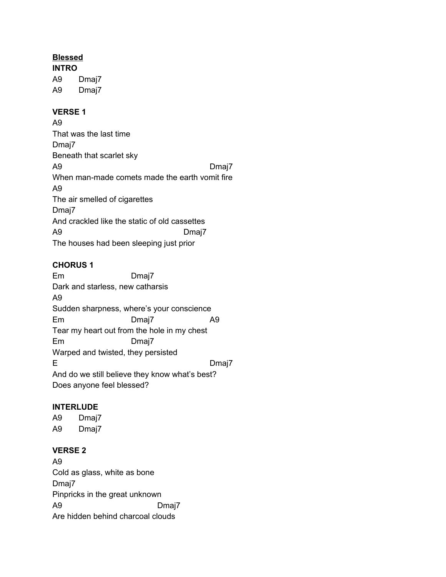### **Blessed**

**INTRO** A9 Dmaj7 A9 Dmaj7

#### **VERSE 1**

A9 That was the last time Dmaj7 Beneath that scarlet sky A9 Dmaj7 When man-made comets made the earth vomit fire A9 The air smelled of cigarettes Dmaj7 And crackled like the static of old cassettes A9 Dmaj7 The houses had been sleeping just prior

### **CHORUS 1**

Em Dmaj7 Dark and starless, new catharsis A9 Sudden sharpness, where's your conscience Em Dmaj7 A9 Tear my heart out from the hole in my chest Em Dmaj7 Warped and twisted, they persisted E Dmaj7 And do we still believe they know what's best? Does anyone feel blessed?

### **INTERLUDE**

A9 Dmaj7 A9 Dmaj7

### **VERSE 2**

A9 Cold as glass, white as bone Dmaj7 Pinpricks in the great unknown A9 Dmaj7 Are hidden behind charcoal clouds